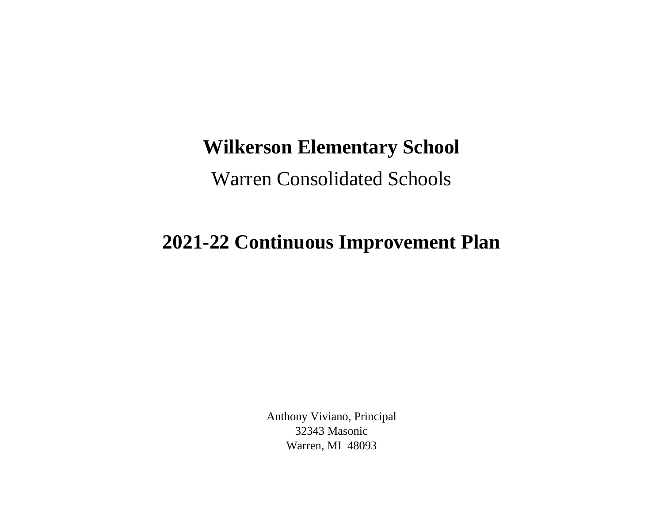## **Wilkerson Elementary School**

Warren Consolidated Schools

## **2021-22 Continuous Improvement Plan**

Anthony Viviano, Principal 32343 Masonic Warren, MI 48093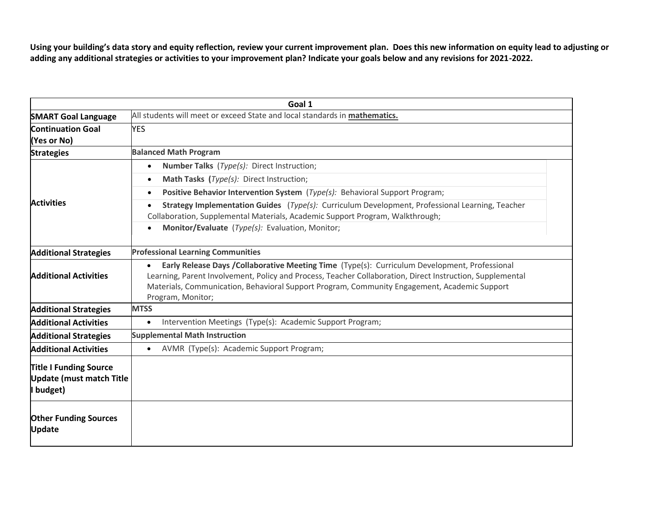**Using your building's data story and equity reflection, review your current improvement plan. Does this new information on equity lead to adjusting or adding any additional strategies or activities to your improvement plan? Indicate your goals below and any revisions for 2021-2022.**

| Goal 1                                                                        |                                                                                                                                                                                                                                                                                                                                               |  |
|-------------------------------------------------------------------------------|-----------------------------------------------------------------------------------------------------------------------------------------------------------------------------------------------------------------------------------------------------------------------------------------------------------------------------------------------|--|
| <b>SMART Goal Language</b>                                                    | All students will meet or exceed State and local standards in mathematics.                                                                                                                                                                                                                                                                    |  |
| <b>Continuation Goal</b><br>(Yes or No)                                       | <b>YES</b>                                                                                                                                                                                                                                                                                                                                    |  |
| <b>Strategies</b>                                                             | <b>Balanced Math Program</b>                                                                                                                                                                                                                                                                                                                  |  |
| <b>Activities</b>                                                             | <b>Number Talks</b> ( <i>Type(s):</i> Direct Instruction;<br>$\bullet$                                                                                                                                                                                                                                                                        |  |
|                                                                               | Math Tasks (Type(s): Direct Instruction;<br>$\bullet$                                                                                                                                                                                                                                                                                         |  |
|                                                                               | Positive Behavior Intervention System (Type(s): Behavioral Support Program;<br>$\bullet$                                                                                                                                                                                                                                                      |  |
|                                                                               | Strategy Implementation Guides (Type(s): Curriculum Development, Professional Learning, Teacher<br>Collaboration, Supplemental Materials, Academic Support Program, Walkthrough;                                                                                                                                                              |  |
|                                                                               | Monitor/Evaluate (Type(s): Evaluation, Monitor;<br>$\bullet$                                                                                                                                                                                                                                                                                  |  |
| <b>Additional Strategies</b>                                                  | <b>Professional Learning Communities</b>                                                                                                                                                                                                                                                                                                      |  |
| <b>Additional Activities</b>                                                  | Early Release Days / Collaborative Meeting Time (Type(s): Curriculum Development, Professional<br>$\bullet$<br>Learning, Parent Involvement, Policy and Process, Teacher Collaboration, Direct Instruction, Supplemental<br>Materials, Communication, Behavioral Support Program, Community Engagement, Academic Support<br>Program, Monitor; |  |
| <b>Additional Strategies</b>                                                  | <b>MTSS</b>                                                                                                                                                                                                                                                                                                                                   |  |
| <b>Additional Activities</b>                                                  | Intervention Meetings (Type(s): Academic Support Program;<br>$\bullet$                                                                                                                                                                                                                                                                        |  |
| <b>Additional Strategies</b>                                                  | <b>Supplemental Math Instruction</b>                                                                                                                                                                                                                                                                                                          |  |
| <b>Additional Activities</b>                                                  | AVMR (Type(s): Academic Support Program;<br>$\bullet$                                                                                                                                                                                                                                                                                         |  |
| <b>Title I Funding Source</b><br><b>Update (must match Title</b><br>I budget) |                                                                                                                                                                                                                                                                                                                                               |  |
| <b>Other Funding Sources</b><br><b>Update</b>                                 |                                                                                                                                                                                                                                                                                                                                               |  |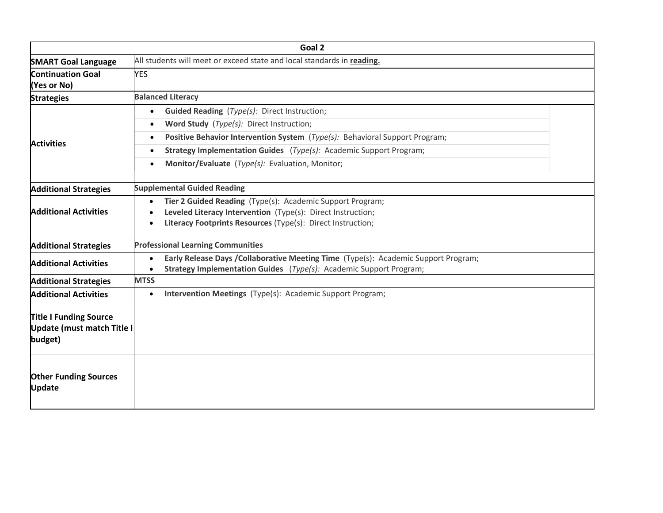| Goal 2                                                                 |                                                                                                                                                                                                                                                                                                                                                                  |  |
|------------------------------------------------------------------------|------------------------------------------------------------------------------------------------------------------------------------------------------------------------------------------------------------------------------------------------------------------------------------------------------------------------------------------------------------------|--|
| <b>SMART Goal Language</b>                                             | All students will meet or exceed state and local standards in reading.                                                                                                                                                                                                                                                                                           |  |
| <b>Continuation Goal</b><br>(Yes or No)                                | <b>YES</b>                                                                                                                                                                                                                                                                                                                                                       |  |
| <b>Strategies</b>                                                      | <b>Balanced Literacy</b>                                                                                                                                                                                                                                                                                                                                         |  |
| <b>Activities</b>                                                      | <b>Guided Reading</b> ( <i>Type(s):</i> Direct Instruction;<br>$\bullet$<br>Word Study (Type(s): Direct Instruction;<br>$\bullet$<br>Positive Behavior Intervention System (Type(s): Behavioral Support Program;<br>٠<br>Strategy Implementation Guides (Type(s): Academic Support Program;<br>$\bullet$<br>Monitor/Evaluate (Type(s): Evaluation, Monitor;<br>٠ |  |
| <b>Additional Strategies</b>                                           | <b>Supplemental Guided Reading</b>                                                                                                                                                                                                                                                                                                                               |  |
| <b>Additional Activities</b>                                           | Tier 2 Guided Reading (Type(s): Academic Support Program;<br>$\bullet$<br>Leveled Literacy Intervention (Type(s): Direct Instruction;<br>Literacy Footprints Resources (Type(s): Direct Instruction;                                                                                                                                                             |  |
| <b>Additional Strategies</b>                                           | <b>Professional Learning Communities</b>                                                                                                                                                                                                                                                                                                                         |  |
| <b>Additional Activities</b>                                           | Early Release Days / Collaborative Meeting Time (Type(s): Academic Support Program;<br>$\bullet$<br><b>Strategy Implementation Guides</b> (Type(s): Academic Support Program;                                                                                                                                                                                    |  |
| <b>Additional Strategies</b>                                           | <b>MTSS</b>                                                                                                                                                                                                                                                                                                                                                      |  |
| <b>Additional Activities</b>                                           | Intervention Meetings (Type(s): Academic Support Program;<br>$\bullet$                                                                                                                                                                                                                                                                                           |  |
| <b>Title I Funding Source</b><br>Update (must match Title I<br>budget) |                                                                                                                                                                                                                                                                                                                                                                  |  |
| <b>Other Funding Sources</b><br><b>Update</b>                          |                                                                                                                                                                                                                                                                                                                                                                  |  |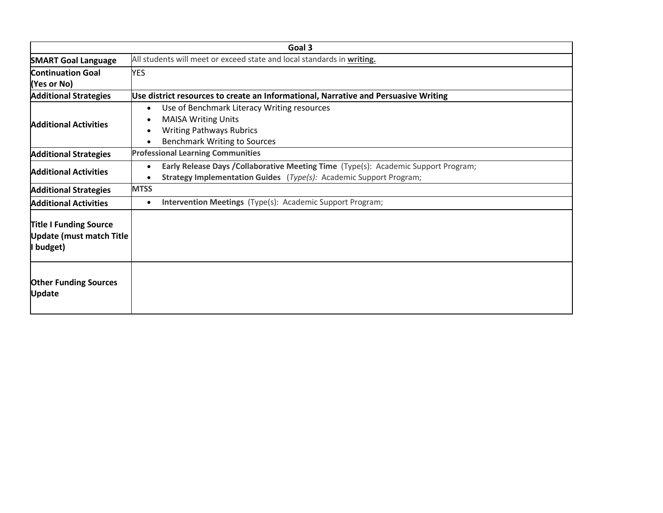| Goal 3                                                                        |                                                                                                                                                                        |  |
|-------------------------------------------------------------------------------|------------------------------------------------------------------------------------------------------------------------------------------------------------------------|--|
| <b>SMART Goal Language</b>                                                    | All students will meet or exceed state and local standards in writing.                                                                                                 |  |
| <b>Continuation Goal</b>                                                      | <b>YES</b>                                                                                                                                                             |  |
| (Yes or No)                                                                   |                                                                                                                                                                        |  |
| <b>Additional Strategies</b>                                                  | Use district resources to create an Informational, Narrative and Persuasive Writing                                                                                    |  |
| <b>Additional Activities</b>                                                  | Use of Benchmark Literacy Writing resources<br>$\bullet$<br><b>MAISA Writing Units</b><br><b>Writing Pathways Rubrics</b><br>٠<br><b>Benchmark Writing to Sources</b>  |  |
| <b>Additional Strategies</b>                                                  | <b>Professional Learning Communities</b>                                                                                                                               |  |
| <b>Additional Activities</b>                                                  | Early Release Days / Collaborative Meeting Time (Type(s): Academic Support Program;<br>$\bullet$<br>Strategy Implementation Guides (Type(s): Academic Support Program; |  |
| <b>Additional Strategies</b>                                                  | <b>MTSS</b>                                                                                                                                                            |  |
| <b>Additional Activities</b>                                                  | <b>Intervention Meetings</b> (Type(s): Academic Support Program;<br>$\bullet$                                                                                          |  |
| <b>Title I Funding Source</b><br><b>Update (must match Title</b><br>I budget) |                                                                                                                                                                        |  |
| <b>Other Funding Sources</b><br><b>Update</b>                                 |                                                                                                                                                                        |  |